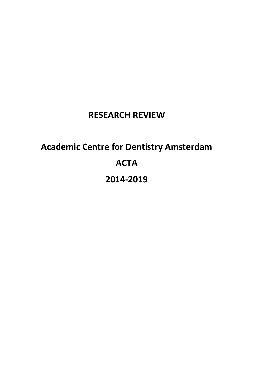# **RESEARCH REVIEW**

# **Academic Centre for Dentistry Amsterdam ACTA 2014-2019**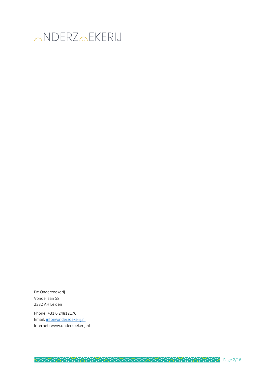

De Onderzoekerij Vondellaan 58 2332 AH Leiden

Phone: +31 6 24812176 Email: info@onderzoekerij.nl Internet: www.onderzoekerij.nl

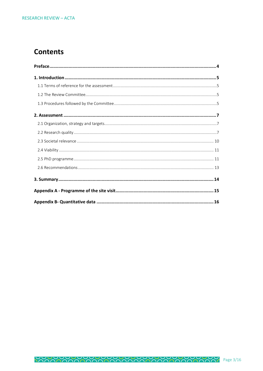### **Contents**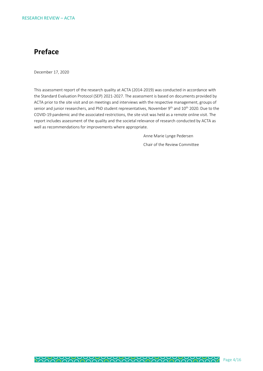### **Preface**

December 17, 2020

This assessment report of the research quality at ACTA (2014-2019) was conducted in accordance with the Standard Evaluation Protocol (SEP) 2021-2027. The assessment is based on documents provided by ACTA prior to the site visit and on meetings and interviews with the respective management, groups of senior and junior researchers, and PhD student representatives, November 9<sup>th</sup> and 10<sup>th</sup> 2020. Due to the COVID-19 pandemic and the associated restrictions, the site visit was held as a remote online visit. The report includes assessment of the quality and the societal relevance of research conducted by ACTA as well as recommendations for improvements where appropriate.

> Anne Marie Lynge Pedersen Chair of the Review Committee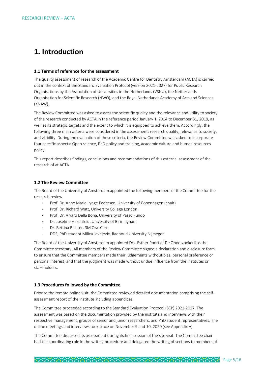### **1. Introduction**

#### **1.1 Terms of reference for the assessment**

The quality assessment of research of the Academic Centre for Dentistry Amsterdam (ACTA) is carried out in the context of the Standard Evaluation Protocol (version 2021-2027) for Public Research Organisations by the Association of Universities in the Netherlands (VSNU), the Netherlands Organisation for Scientific Research (NWO), and the Royal Netherlands Academy of Arts and Sciences (KNAW).

The Review Committee was asked to assess the scientific quality and the relevance and utility to society of the research conducted by ACTA in the reference period January 1, 2014 to December 31, 2019, as well as its strategic targets and the extent to which it is equipped to achieve them. Accordingly, the following three main criteria were considered in the assessment: research quality, relevance to society, and viability. During the evaluation of these criteria, the Review Committee was asked to incorporate four specific aspects: Open science, PhD policy and training, academic culture and human resources policy.

This report describes findings, conclusions and recommendations of this external assessment of the research of at ACTA.

#### **1.2 The Review Committee**

The Board of the University of Amsterdam appointed the following members of the Committee for the research review:

- Prof. Dr. Anne Marie Lynge Pedersen, University of Copenhagen (chair)
- Prof. Dr. Richard Watt, University College London
- Prof. Dr. Alvaro Della Bona, University of Passo Fundo
- Dr. Josefine Hirschfeld, University of Birmingham
- Dr. Bettina Richter, 3M Oral Care
- DDS, PhD student Milica Jevdjevic, Radboud University Nijmegen

The Board of the University of Amsterdam appointed Drs. Esther Poort of De Onderzoekerij as the Committee secretary. All members of the Review Committee signed a declaration and disclosure form to ensure that the Committee members made their judgements without bias, personal preference or personal interest, and that the judgment was made without undue influence from the institutes or stakeholders.

#### **1.3 Procedures followed by the Committee**

Prior to the remote online visit, the Committee reviewed detailed documentation comprising the selfassessment report of the institute including appendices.

The Committee proceeded according to the Standard Evaluation Protocol (SEP) 2021-2027. The assessment was based on the documentation provided by the institute and interviews with their respective management, groups of senior and junior researchers, and PhD student representatives. The online meetings and interviews took place on November 9 and 10, 2020 (see Appendix A).

The Committee discussed its assessment during its final session of the site visit. The Committee chair had the coordinating role in the writing procedure and delegated the writing of sections to members of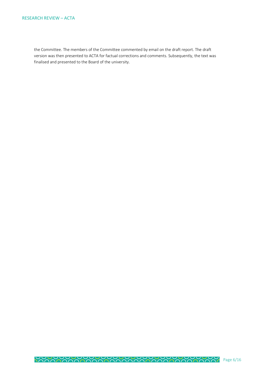the Committee. The members of the Committee commented by email on the draft report. The draft version was then presented to ACTA for factual corrections and comments. Subsequently, the text was finalised and presented to the Board of the university.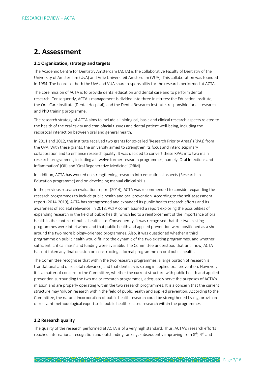### **2. Assessment**

#### **2.1 Organization, strategy and targets**

The Academic Centre for Dentistry Amsterdam (ACTA) is the collaborative Faculty of Dentistry of the University of Amsterdam (UvA) and Vrije Universiteit Amsterdam (VUA). This collaboration was founded in 1984. The boards of both the UvA and VUA share responsibility for the research performed at ACTA.

The core mission of ACTA is to provide dental education and dental care and to perform dental research. Consequently, ACTA's management is divided into three Institutes: the Education Institute, the Oral Care Institute (Dental Hospital), and the Dental Research Institute, responsible for all research and PhD training programme.

The research strategy of ACTA aims to include all biological, basic and clinical research aspects related to the health of the oral cavity and craniofacial tissues and dental patient well-being, including the reciprocal interaction between oral and general health.

In 2011 and 2012, the institute received two grants for so-called 'Research Priority Areas' (RPAs) from the UvA. With these grants, the university aimed to strengthen its focus and interdisciplinary collaboration and to enhance research quality. It was decided to convert these RPAs into two main research programmes, including all twelve former research programmes, namely 'Oral Infections and Inflammation' (OII) and 'Oral Regenerative Medicine' (ORM).

In addition, ACTA has worked on strengthening research into educational aspects (Research in Education programme) and on developing manual clinical skills.

In the previous research evaluation report (2014), ACTA was recommended to consider expanding the research programmes to include public health and oral prevention. According to the self-assessment report (2014-2019), ACTA has strengthened and expanded its public health research efforts and its awareness of societal relevance. In 2018, ACTA commissioned a report exploring the possibilities of expanding research in the field of public health, which led to a reinforcement of the importance of oral health in the context of public healthcare. Consequently, it was recognised that the two existing programmes were intertwined and that public health and applied prevention were positioned as a shell around the two more biology-oriented programmes. Also, it was questioned whether a third programme on public health would fit into the dynamic of the two existing programmes, and whether sufficient 'critical mass' and funding were available. The Committee understood that until now, ACTA has not taken any final decision on constructing a formal programme on oral public health.

The Committee recognizes that within the two research programmes, a large portion of research is translational and of societal relevance, and that dentistry is strong in applied oral prevention. However, it is a matter of concern to the Committee, whether the current structure with public health and applied prevention surrounding the two major research programmes, adequately serve the purposes of ACTA's mission and are properly operating within the two research programmes. It is a concern that the current structure may 'dilute' research within the field of public health and applied prevention. According to the Committee, the natural incorporation of public health research could be strengthened by e.g. provision of relevant methodological expertise in public health-related research within the programmes.

#### **2.2 Research quality**

The quality of the research performed at ACTA is of a very high standard. Thus, ACTA's research efforts reached international recognition and outstanding ranking, subsequently improving from 8<sup>th</sup>, 4<sup>th</sup> and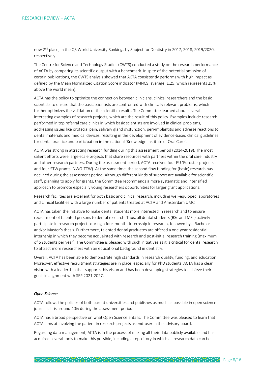now 2nd place, in the QS World University Rankings by Subject for Dentistry in 2017, 2018, 2019/2020, respectively.

The Centre for Science and Technology Studies (CWTS) conducted a study on the research performance of ACTA by comparing its scientific output with a benchmark. In spite of the potential omission of certain publications, the CWTS analysis showed that ACTA consistently performs with high impact as defined by the Mean Normalized Citation Score indicator (MNCS; average: 1.25, which represents 25% above the world mean).

ACTA has the policy to optimize the connection between clinicians, clinical researchers and the basic scientists to ensure that the basic scientists are confronted with clinically relevant problems, which further optimizes the validation of the scientific results. The Committee learned about several interesting examples of research projects, which are the result of this policy. Examples include research performed in top referral care clinics in which basic scientists are involved in clinical problems, addressing issues like orofacial pain, salivary gland dysfunction, peri-implantitis and adverse reactions to dental materials and medical devices, resulting in the development of evidence-based clinical guidelines for dental practice and participation in the national 'Knowledge Institute of Oral Care'.

ACTA was strong in attracting research funding during this assessment period (2014-2019). The most salient efforts were large-scale projects that share resources with partners within the oral care industry and other research partners. During the assessment period, ACTA received four EU 'Eurostar projects' and four STW grants (NWO-TTW). At the same time, the second flow funding for (basic) research has declined during the assessment period. Although different kinds of support are available for scientific staff, planning to apply for grants, the Committee recommends a more systematic and intensified approach to promote especially young researchers opportunities for larger grant applications.

Research facilities are excellent for both basic and clinical research, including well-equipped laboratories and clinical facilities with a large number of patients treated at ACTA and Amsterdam UMC.

ACTA has taken the initiative to make dental students more interested in research and to ensure recruitment of talented persons to dental research. Thus, all dental students (BSc and MSc) actively participate in research projects during a four-months internship in research, followed by a Bachelor and/or Master's thesis. Furthermore, talented dental graduates are offered a one-year residential internship in which they become acquainted with research and post-initial research training (maximum of 5 students per year). The Committee is pleased with such initiatives as it is critical for dental research to attract more researchers with an educational background in dentistry.

Overall, ACTA has been able to demonstrate high standards in research quality, funding, and education. Moreover, effective recruitment strategies are in place, especially for PhD students. ACTA has a clear vision with a leadership that supports this vision and has been developing strategies to achieve their goals in alignment with SEP 2021-2027.

#### *Open Science*

ACTA follows the policies of both parent universities and publishes as much as possible in open science journals. It is around 40% during the assessment period.

ACTA has a broad perspective on what Open Science entails. The Committee was pleased to learn that ACTA aims at involving the patient in research projects as end-user in the advisory board.

Regarding data management, ACTA is in the process of making all their data publicly available and has acquired several tools to make this possible, including a repository in which all research data can be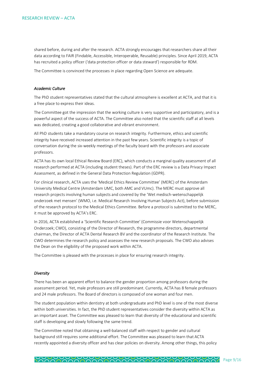shared before, during and after the research. ACTA strongly encourages that researchers share all their data according to FAIR (Findable, Accessible, Interoperable, Reusable) principles. Since April 2019, ACTA has recruited a policy officer ('data protection officer or data steward') responsible for RDM.

The Committee is convinced the processes in place regarding Open Science are adequate.

#### *Academic Culture*

The PhD student representatives stated that the cultural atmosphere is excellent at ACTA, and that it is a free place to express their ideas.

The Committee got the impression that the working culture is very supportive and participatory, and is a powerful aspect of the success of ACTA. The Committee also noted that the scientific staff at all levels was dedicated, creating a good collaborative and vibrant environment.

All PhD students take a mandatory course on research integrity. Furthermore, ethics and scientific integrity have received increased attention in the past few years. Scientific integrity is a topic of conversation during the six-weekly meetings of the faculty board with the professors and associate professors.

ACTA has its own local Ethical Review Board (ERC), which conducts a marginal quality assessment of all research performed at ACTA (including student theses). Part of the ERC review is a Data Privacy Impact Assessment, as defined in the General Data Protection Regulation (GDPR).

For clinical research, ACTA uses the 'Medical Ethics Review Committee' (MERC) of the Amsterdam University Medical Centre (Amsterdam UMC, both AMC and VUmc). The MERC must approve all research projects involving human subjects and covered by the 'Wet medisch-wetenschappelijk onderzoek met mensen' (WMO, i.e. Medical Research Involving Human Subjects Act), before submission of the research protocol to the Medical Ethics Committee. Before a protocol is submitted to the MERC, it must be approved by ACTA's ERC.

In 2016, ACTA established a 'Scientific Research Committee' (Commissie voor Wetenschappelijk Onderzoek; CWO), consisting of the Director of Research, the programme directors, departmental chairman, the Director of ACTA Dental Research BV and the coordinator of the Research Institute. The CWO determines the research policy and assesses the new research proposals. The CWO also advises the Dean on the eligibility of the proposed work within ACTA.

The Committee is pleased with the processes in place for ensuring research integrity.

#### *Diversity*

There has been an apparent effort to balance the gender proportion among professors during the assessment period. Yet, male professors are still predominant. Currently, ACTA has 8 female professors and 24 male professors. The Board of directors is composed of one woman and four men.

The student population within dentistry at both undergraduate and PhD level is one of the most diverse within both universities. In fact, the PhD student representatives consider the diversity within ACTA as an important asset. The Committee was pleased to learn that diversity of the educational and scientific staff is developing and slowly following the same trend.

The Committee noted that obtaining a well-balanced staff with respect to gender and cultural background still requires some additional effort. The Committee was pleased to learn that ACTA recently appointed a diversity officer and has clear policies on diversity. Among other things, this policy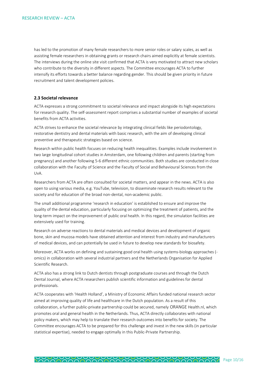has led to the promotion of many female researchers to more senior roles or salary scales, as well as assisting female researchers in obtaining grants or research chairs aimed explicitly at female scientists. The interviews during the online site visit confirmed that ACTA is very motivated to attract new scholars who contribute to the diversity in different aspects. The Committee encourages ACTA to further intensify its efforts towards a better balance regarding gender. This should be given priority in future recruitment and talent development policies.

#### **2.3 Societal relevance**

ACTA expresses a strong commitment to societal relevance and impact alongside its high expectations for research quality. The self-assessment report comprises a substantial number of examples of societal benefits from ACTA activities.

ACTA strives to enhance the societal relevance by integrating clinical fields like periodontology, restorative dentistry and dental materials with basic research, with the aim of developing clinical preventive and therapeutic strategies based on science.

Research within public health focuses on reducing health inequalities. Examples include involvement in two large longitudinal cohort studies in Amsterdam, one following children and parents (starting from pregnancy) and another following 5-6 different ethnic communities. Both studies are conducted in close collaboration with the Faculty of Science and the Faculty of Social and Behavioural Sciences from the UvA.

Researchers from ACTA are often consulted for societal matters, and appear in the news. ACTA is also open to using various media, e.g. YouTube, television, to disseminate research results relevant to the society and for education of the broad non-dental, non-academic public.

The small additional programme 'research in education' is established to ensure and improve the quality of the dental education, particularly focusing on optimizing the treatment of patients, and the long-term impact on the improvement of public oral health. In this regard, the simulation facilities are extensively used for training.

Research on adverse reactions to dental materials and medical devices and development of organic bone, skin and mucosa models have obtained attention and interest from industry and manufacturers of medical devices, and can potentially be used in future to develop new standards for biosafety.

Moreover, ACTA works on defining and sustaining good oral health using systems-biology approaches ( omics) in collaboration with several industrial partners and the Netherlands Organisation for Applied Scientific Research.

ACTA also has a strong link to Dutch dentists through postgraduate courses and through the Dutch Dental Journal, where ACTA researchers publish scientific information and guidelines for dental professionals.

ACTA cooperates with 'Health Holland', a Ministry of Economic Affairs funded national research sector aimed at improving quality of life and healthcare in the Dutch population. As a result of this collaboration, a further public-private partnership could be secured, namely ORANGE Health.nl, which promotes oral and general health in the Netherlands. Thus, ACTA directly collaborates with national policy makers, which may help to translate their research outcomes into benefits for society. The Committee encourages ACTA to be prepared for this challenge and invest in the new skills (in particular statistical expertise), needed to engage optimally in this Public-Private Partnership.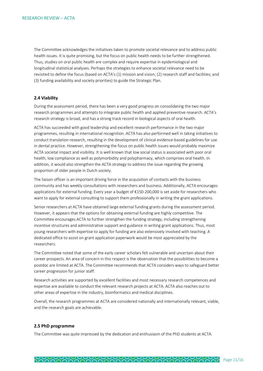The Committee acknowledges the initiatives taken to promote societal relevance and to address public health issues. It is quite promising, but the focus on public health needs to be further strengthened. Thus, studies on oral public health are complex and require expertise in epidemiological and longitudinal statistical analyses. Perhaps the strategies to enhance societal relevance need to be revisited to define the focus (based on ACTA's (1) mission and vision; (2) research staff and facilities; and (3) funding availability and society priorities) to guide the Strategic Plan.

#### **2.4 Viability**

During the assessment period, there has been a very good progress on consolidating the two major research programmes and attempts to integrate public health and applied preventive research. ACTA's research strategy is broad, and has a strong track record in biological aspects of oral health.

ACTA has succeeded with good leadership and excellent research performance in the two major programmes, resulting in international recognition. ACTA has also performed well in taking initiatives to conduct translation research, resulting in the development of clinical evidence-based guidelines for use in dental practice. However, strengthening the focus on public health issues would probably maximize ACTA societal impact and visibility. It is well known that low social status is associated with poor oral health, low compliance as well as polymorbidity and polypharmacy, which comprises oral health. In addition, it would also strengthen the ACTA strategy to address the issue regarding the growing proportion of older people in Dutch society.

The liaison officer is an important driving force in the acquisition of contacts with the business community and has weekly consultations with researchers and business. Additionally, ACTA encourages applications for external funding. Every year a budget of €150-200,000 is set aside for researchers who want to apply for external consulting to support them professionally in writing the grant applications.

Senior researchers at ACTA have obtained large external funding grants during the assessment period. However, it appears that the options for obtaining external funding are highly competitive. The Committee encourages ACTA to further strengthen the funding strategy, including strengthening incentive structures and administrative support and guidance in writing grant applications. Thus, most young researchers with expertise to apply for funding are also extensively involved with teaching. A dedicated office to assist on grant application paperwork would be most appreciated by the researchers.

The Committee noted that some of the early career scholars felt vulnerable and uncertain about their career prospects. An area of concern in this respect is the observation that the possibilities to become a postdoc are limited at ACTA. The Committee recommends that ACTA considers ways to safeguard better career progression for junior staff.

Research activities are supported by excellent facilities and most necessary research competences and expertise are available to conduct the relevant research projects at ACTA. ACTA also reaches out to other areas of expertise in the industry, bioinformatics and medical disciplines.

Overall, the research programmes at ACTA are considered nationally and internationally relevant, viable, and the research goals are achievable.

#### **2.5 PhD programme**

The Committee was quite impressed by the dedication and enthusiasm of the PhD students at ACTA.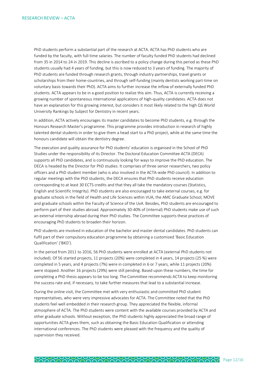PhD students perform a substantial part of the research at ACTA. ACTA has PhD students who are funded by the faculty, with full-time salaries. The number of faculty funded PhD students had declined from 35 in 2014 to 24 in 2019. This decline is ascribed to a policy change during this period as these PhD students usually had 4 years of funding, but this is now reduced to 3 years of funding. The majority of PhD students are funded through research grants, through industry partnerships, travel grants or scholarships from their home-countries, and through self-funding (mainly dentists working part-time on voluntary basis towards their PhD). ACTA aims to further increase the inflow of externally funded PhD students. ACTA appears to be in a good position to realize this aim. Thus, ACTA is currently receiving a growing number of spontaneous international applications of high-quality candidates. ACTA does not have an explanation for this growing interest, but considers it most likely related to the high QS World University Rankings by Subject for Dentistry in recent years.

In addition, ACTA actively encourages its master candidates to become PhD students, e.g. through the Honours Research Master's programme. This programme provides introduction in research of highly talented dental students in order to give them a head start to a PhD project, while at the same time the honours candidate will obtain the dentistry degree.

The execution and quality assurance for PhD students' education is organised in the School of PhD Studies under the responsibility of its Director. The Doctoral Education Committee ACTA (DECA) supports all PhD candidates, and is continuously looking for ways to improve the PhD education. The DECA is headed by the Director for PhD studies. It comprises of three senior researchers, two policy officers and a PhD student member (who is also involved in the ACTA-wide PhD council). In addition to regular meetings with the PhD students, the DECA ensures that PhD students receive education corresponding to at least 30 ECTS credits and that they all take the mandatory courses (Statistics, English and Scientific Integrity). PhD students are also encouraged to take external courses, e.g. for graduate schools in the field of Health and Life Sciences within VUA, the AMC Graduate School, MOVE and graduate schools within the Faculty of Science of the UvA. Besides, PhD students are encouraged to perform part of their studies abroad. Approximately 30-40% of (internal) PhD students make use of such an external internship abroad during their PhD studies. The Committee supports these practices of encouraging PhD students to broaden their horizon.

PhD students are involved in education of the bachelor and master dental candidates. PhD students can fulfil part of their compulsory education programme by obtaining a customized 'Basic Education Qualification' ('BKO').

In the period from 2011 to 2016, 56 PhD students were enrolled at ACTA (external PhD students not included). Of 56 started projects, 11 projects (20%) were completed in 4 years, 14 projects (25 %) were completed in 5 years, and 4 projects (7%) were in completed in 6 or 7 years, while 11 projects (20%) were stopped. Another 16 projects (29%) were still pending. Based upon these numbers, the time for completing a PhD thesis appears to be too long. The Committee recommends ACTA to keep monitoring the success rate and, if necessary, to take further measures that lead to a substantial increase.

During the online visit, the Committee met with very enthusiastic and committed PhD student representatives, who were very impressive advocates for ACTA. The Committee noted that the PhD students feel well embedded in their research group. They appreciated the flexible, informal atmosphere of ACTA. The PhD students were content with the available courses provided by ACTA and other graduate schools. Without exception, the PhD students highly appreciated the broad range of opportunities ACTA gives them, such as obtaining the Basic Education Qualification or attending international conferences. The PhD students were pleased with the frequency and the quality of supervision they received.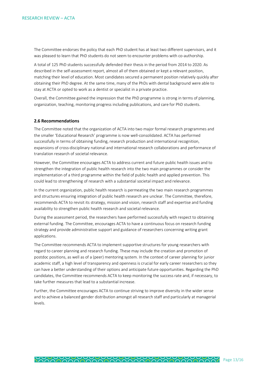The Committee endorses the policy that each PhD student has at least two different supervisors, and it was pleased to learn that PhD students do not seem to encounter problems with co-authorship.

A total of 125 PhD students successfully defended their thesis in the period from 2014 to 2020. As described in the self-assessment report, almost all of them obtained or kept a relevant position, matching their level of education. Most candidates secured a permanent position relatively quickly after obtaining their PhD degree. At the same time, many of the PhDs with dental background were able to stay at ACTA or opted to work as a dentist or specialist in a private practice.

Overall, the Committee gained the impression that the PhD programme is strong in terms of planning, organization, teaching, monitoring progress including publications, and care for PhD students.

#### **2.6 Recommendations**

The Committee noted that the organization of ACTA into two major formal research programmes and the smaller 'Educational Research' programme is now well-consolidated. ACTA has performed successfully in terms of obtaining funding, research production and international recognition, expansions of cross-disciplinary national and international research collaborations and performance of translation research of societal relevance.

However, the Committee encourages ACTA to address current and future public health issues and to strengthen the integration of public health research into the two main programmes or consider the implementation of a third programme within the field of public health and applied prevention. This could lead to strengthening of research with a substantial societal impact and relevance.

In the current organization, public health research is permeating the two main research programmes and structures ensuring integration of public health research are unclear. The Committee, therefore, recommends ACTA to revisit its strategy, mission and vision, research staff and expertise and funding availability to strengthen public health research and societal relevance.

During the assessment period, the researchers have performed successfully with respect to obtaining external funding. The Committee, encourages ACTA to have a continuous focus on research funding strategy and provide administrative support and guidance of researchers concerning writing grant applications.

The Committee recommends ACTA to implement supportive structures for young researchers with regard to career planning and research funding. These may include the creation and promotion of postdoc positions, as well as of a (peer) mentoring system. In the context of career planning for junior academic staff, a high level of transparency and openness is crucial for early career researchers so they can have a better understanding of their options and anticipate future opportunities. Regarding the PhD candidates, the Committee recommends ACTA to keep monitoring the success rate and, if necessary, to take further measures that lead to a substantial increase.

Further, the Committee encourages ACTA to continue striving to improve diversity in the wider sense and to achieve a balanced gender distribution amongst all research staff and particularly at managerial levels.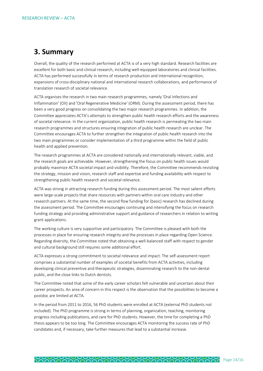### **3. Summary**

Overall, the quality of the research performed at ACTA is of a very high standard. Research facilities are excellent for both basic and clinical research, including well-equipped laboratories and clinical facilities. ACTA has performed successfully in terms of research production and international recognition, expansions of cross-disciplinary national and international research collaborations, and performance of translation research of societal relevance.

ACTA organises the research in two main research programmes, namely 'Oral Infections and Inflammation' (OII) and 'Oral Regenerative Medicine' (ORM). During the assessment period, there has been a very good progress on consolidating the two major research programmes. In addition, the Committee appreciates ACTA's attempts to strengthen public health research efforts and the awareness of societal relevance. In the current organization, public health research is permeating the two main research programmes and structures ensuring integration of public health research are unclear. The Committee encourages ACTA to further strengthen the integration of public health research into the two main programmes or consider implementation of a third programme within the field of public health and applied prevention.

The research programmes at ACTA are considered nationally and internationally relevant, viable, and the research goals are achievable. However, strengthening the focus on public health issues would probably maximize ACTA societal impact and visibility. Therefore, the Committee recommends revisiting the strategy, mission and vision, research staff and expertise and funding availability with respect to strengthening public health research and societal relevance.

ACTA was strong in attracting research funding during this assessment period. The most salient efforts were large-scale projects that share resources with partners within oral care industry and other research partners. At the same time, the second flow funding for (basic) research has declined during the assessment period. The Committee encourages continuing and intensifying the focus on research funding strategy and providing administrative support and guidance of researchers in relation to writing grant applications.

The working culture is very supportive and participatory. The Committee is pleased with both the processes in place for ensuring research integrity and the processes in place regarding Open Science. Regarding diversity, the Committee noted that obtaining a well-balanced staff with respect to gender and cultural background still requires some additional effort.

ACTA expresses a strong commitment to societal relevance and impact. The self-assessment report comprises a substantial number of examples of societal benefits from ACTA activities, including developing clinical preventive and therapeutic strategies, disseminating research to the non-dental public, and the close links to Dutch dentists.

The Committee noted that some of the early career scholars felt vulnerable and uncertain about their career prospects. An area of concern in this respect is the observation that the possibilities to become a postdoc are limited at ACTA.

In the period from 2011 to 2016, 56 PhD students were enrolled at ACTA (external PhD students not included). The PhD programme is strong in terms of planning, organization, teaching, monitoring progress including publications, and care for PhD students. However, the time for completing a PhD thesis appears to be too long. The Committee encourages ACTA monitoring the success rate of PhD candidates and, if necessary, take further measures that lead to a substantial increase.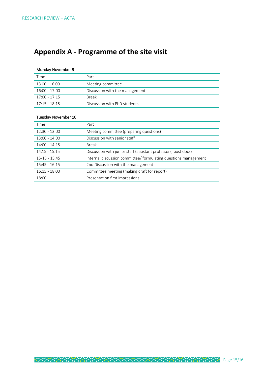## **Appendix A - Programme of the site visit**

#### Monday November 9

| Time            | Part                           |
|-----------------|--------------------------------|
| 13.00 - 16.00   | Meeting committee              |
| $16:00 - 17:00$ | Discussion with the management |
| 17:00 - 17:15   | <b>Break</b>                   |
| $17:15 - 18.15$ | Discussion with PhD students   |

#### Tuesday November 10

| Time            | Part                                                            |
|-----------------|-----------------------------------------------------------------|
| $12:30 - 13:00$ | Meeting committee (preparing questions)                         |
| $13:00 - 14:00$ | Discussion with senior staff                                    |
| $14:00 - 14:15$ | <b>Break</b>                                                    |
| $14.15 - 15.15$ | Discussion with junior staff (assistant professors, post docs)  |
| $15-15 - 15.45$ | internal discussion committee/ formulating questions management |
| $15:45 - 16.15$ | 2nd Discussion with the management                              |
| $16:15 - 18.00$ | Committee meeting (making draft for report)                     |
| 18:00           | Presentation first impressions                                  |